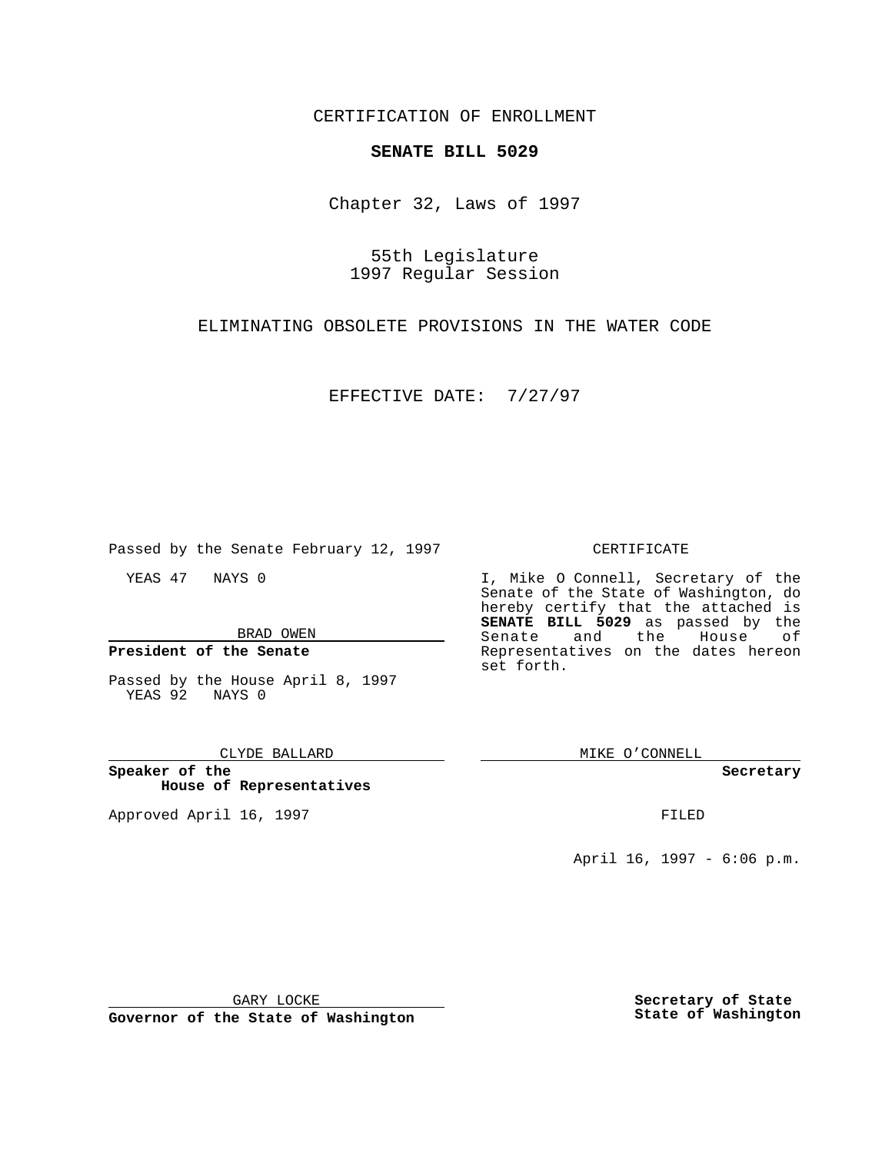CERTIFICATION OF ENROLLMENT

# **SENATE BILL 5029**

Chapter 32, Laws of 1997

55th Legislature 1997 Regular Session

ELIMINATING OBSOLETE PROVISIONS IN THE WATER CODE

EFFECTIVE DATE: 7/27/97

Passed by the Senate February 12, 1997

YEAS 47 NAYS 0

BRAD OWEN

**President of the Senate**

Passed by the House April 8, 1997 YEAS 92 NAYS 0

### CLYDE BALLARD

**Speaker of the House of Representatives**

Approved April 16, 1997 **FILED** 

## CERTIFICATE

I, Mike O Connell, Secretary of the Senate of the State of Washington, do hereby certify that the attached is **SENATE BILL 5029** as passed by the Senate and the House of Representatives on the dates hereon set forth.

MIKE O'CONNELL

#### **Secretary**

April 16, 1997 - 6:06 p.m.

GARY LOCKE

**Governor of the State of Washington**

**Secretary of State State of Washington**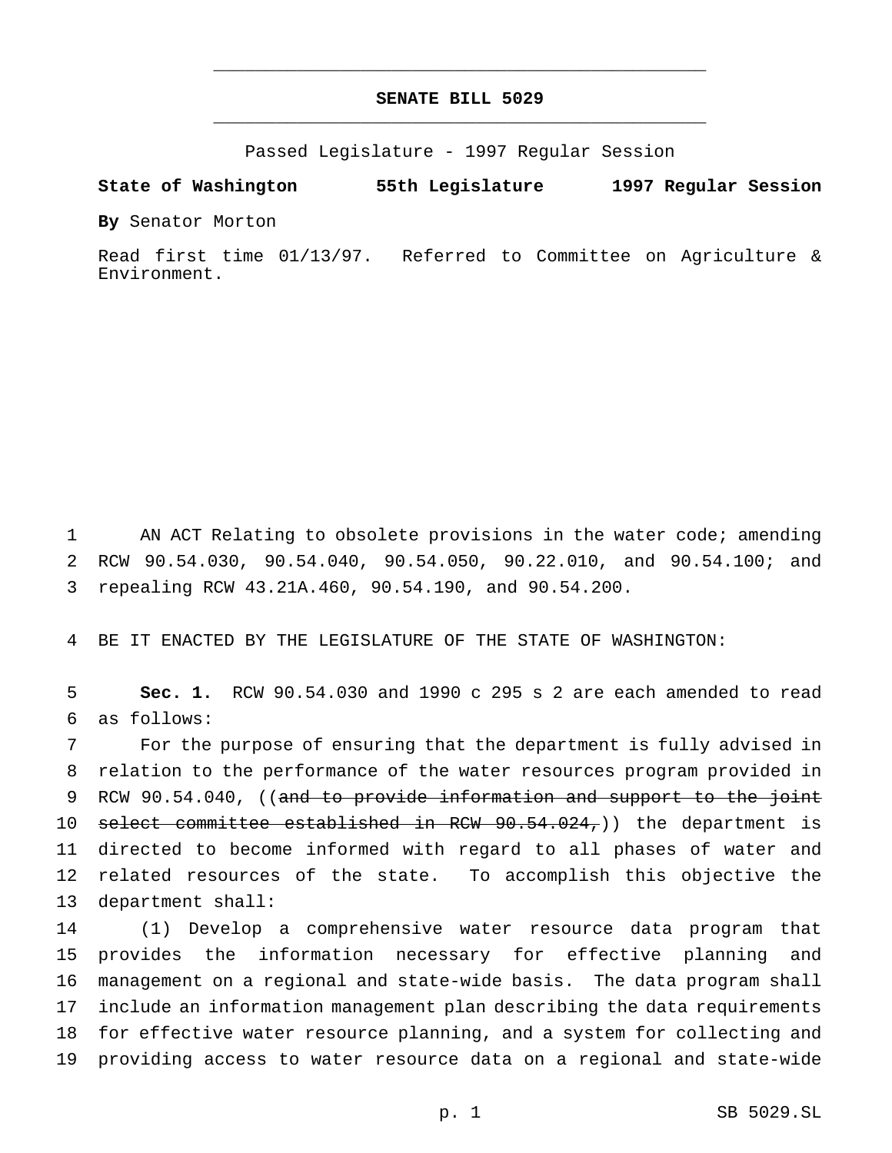# **SENATE BILL 5029** \_\_\_\_\_\_\_\_\_\_\_\_\_\_\_\_\_\_\_\_\_\_\_\_\_\_\_\_\_\_\_\_\_\_\_\_\_\_\_\_\_\_\_\_\_\_\_

\_\_\_\_\_\_\_\_\_\_\_\_\_\_\_\_\_\_\_\_\_\_\_\_\_\_\_\_\_\_\_\_\_\_\_\_\_\_\_\_\_\_\_\_\_\_\_

Passed Legislature - 1997 Regular Session

### **State of Washington 55th Legislature 1997 Regular Session**

**By** Senator Morton

Read first time 01/13/97. Referred to Committee on Agriculture & Environment.

 AN ACT Relating to obsolete provisions in the water code; amending RCW 90.54.030, 90.54.040, 90.54.050, 90.22.010, and 90.54.100; and repealing RCW 43.21A.460, 90.54.190, and 90.54.200.

BE IT ENACTED BY THE LEGISLATURE OF THE STATE OF WASHINGTON:

 **Sec. 1.** RCW 90.54.030 and 1990 c 295 s 2 are each amended to read as follows:

 For the purpose of ensuring that the department is fully advised in relation to the performance of the water resources program provided in 9 RCW 90.54.040, ((and to provide information and support to the joint 10 select committee established in RCW 90.54.024,)) the department is directed to become informed with regard to all phases of water and related resources of the state. To accomplish this objective the department shall:

 (1) Develop a comprehensive water resource data program that provides the information necessary for effective planning and management on a regional and state-wide basis. The data program shall include an information management plan describing the data requirements for effective water resource planning, and a system for collecting and providing access to water resource data on a regional and state-wide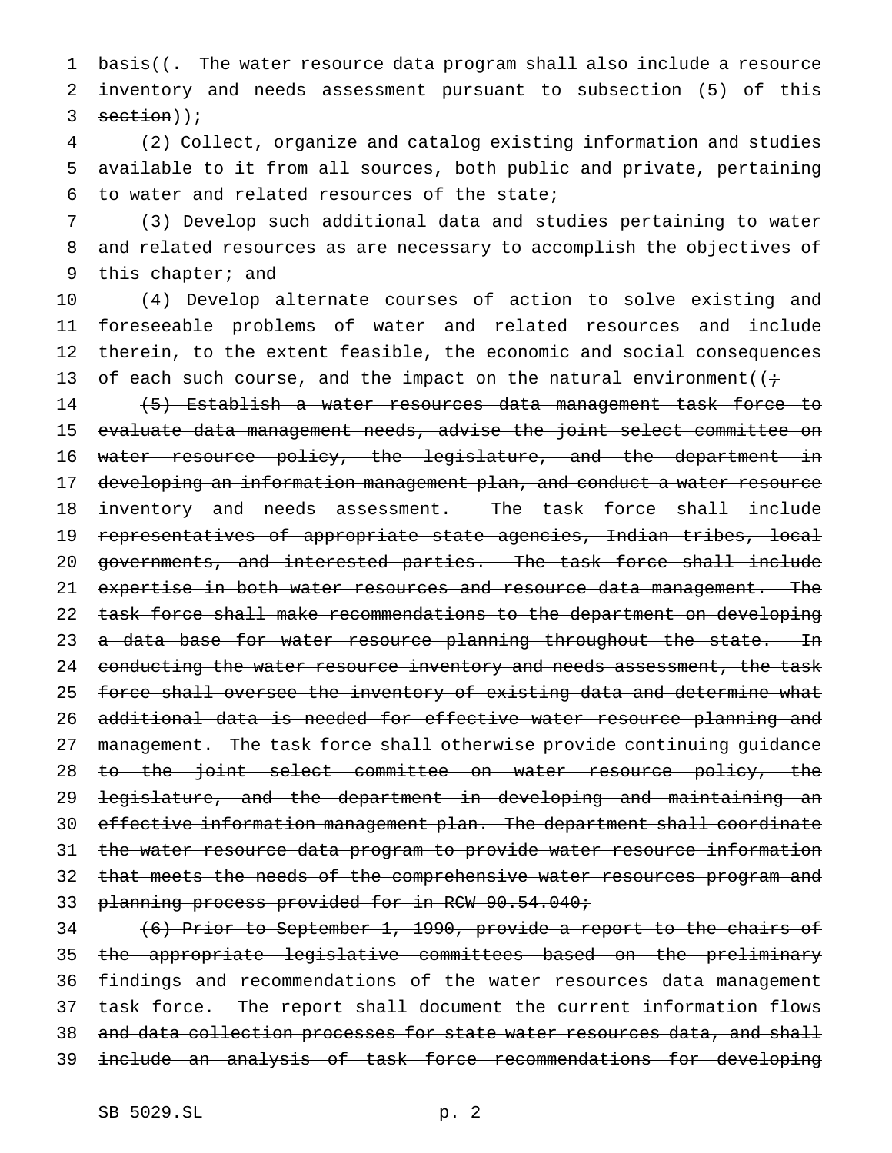1 basis((- The water resource data program shall also include a resource 2 inventory and needs assessment pursuant to subsection (5) of this  $3 \text{ section}$ );

4 (2) Collect, organize and catalog existing information and studies 5 available to it from all sources, both public and private, pertaining 6 to water and related resources of the state;

7 (3) Develop such additional data and studies pertaining to water 8 and related resources as are necessary to accomplish the objectives of 9 this chapter; and

 (4) Develop alternate courses of action to solve existing and foreseeable problems of water and related resources and include therein, to the extent feasible, the economic and social consequences 13 of each such course, and the impact on the natural environment( $(i+$ 

14 (5) Establish a water resources data management task force to 15 evaluate data management needs, advise the joint select committee on 16 water resource policy, the legislature, and the department in 17 developing an information management plan, and conduct a water resource 18 inventory and needs assessment. The task force shall include 19 representatives of appropriate state agencies, Indian tribes, local 20 governments, and interested parties. The task force shall include 21 expertise in both water resources and resource data management. The 22 task force shall make recommendations to the department on developing 23 a data base for water resource planning throughout the state. In 24 conducting the water resource inventory and needs assessment, the task 25 force shall oversee the inventory of existing data and determine what 26 additional data is needed for effective water resource planning and 27 management. The task force shall otherwise provide continuing guidance 28 to the joint select committee on water resource policy, the 29 legislature, and the department in developing and maintaining an 30 effective information management plan. The department shall coordinate 31 the water resource data program to provide water resource information 32 that meets the needs of the comprehensive water resources program and 33 planning process provided for in RCW 90.54.040;

 (6) Prior to September 1, 1990, provide a report to the chairs of the appropriate legislative committees based on the preliminary findings and recommendations of the water resources data management 37 task force. The report shall document the current information flows 38 and data collection processes for state water resources data, and shall include an analysis of task force recommendations for developing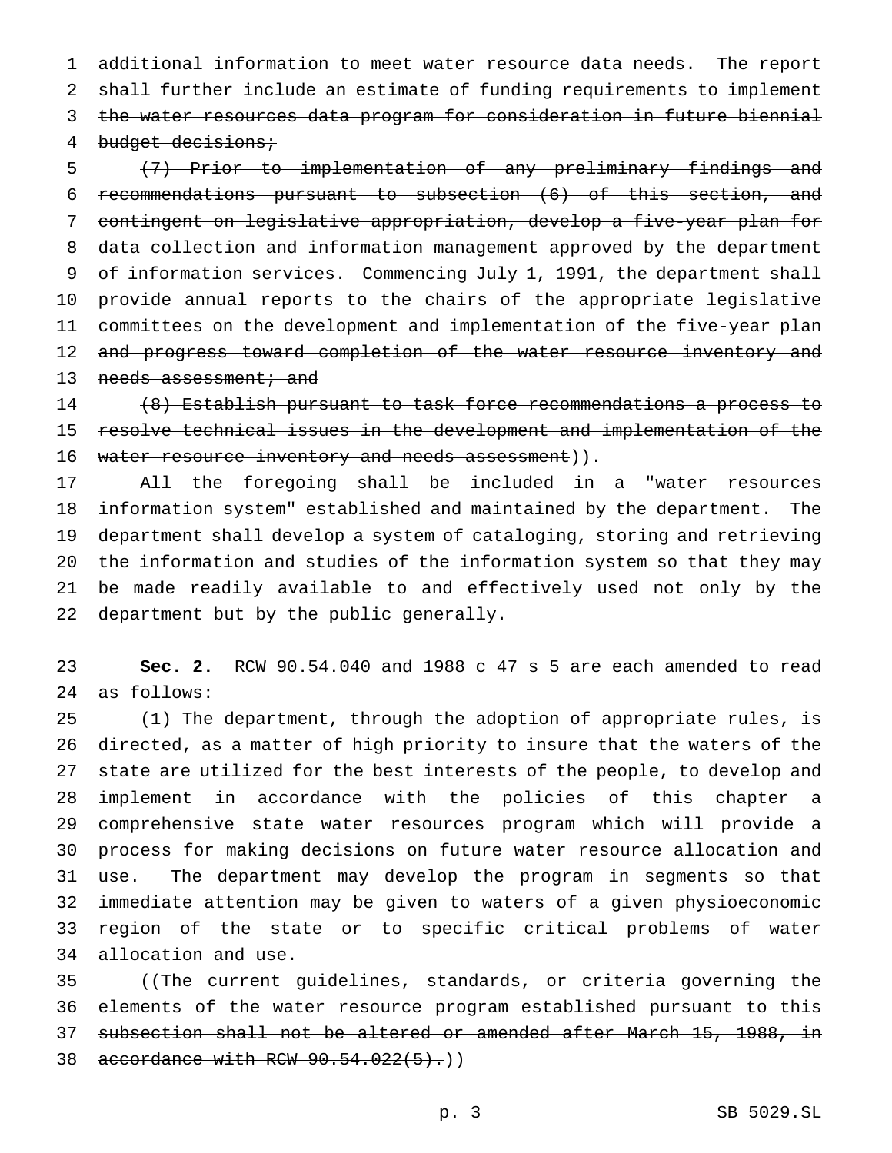additional information to meet water resource data needs. The report 2 shall further include an estimate of funding requirements to implement the water resources data program for consideration in future biennial 4 budget decisions;

 (7) Prior to implementation of any preliminary findings and recommendations pursuant to subsection (6) of this section, and contingent on legislative appropriation, develop a five-year plan for data collection and information management approved by the department 9 of information services. Commencing July 1, 1991, the department shall provide annual reports to the chairs of the appropriate legislative committees on the development and implementation of the five-year plan 12 and progress toward completion of the water resource inventory and 13 needs assessment; and

 (8) Establish pursuant to task force recommendations a process to resolve technical issues in the development and implementation of the 16 water resource inventory and needs assessment)).

 All the foregoing shall be included in a "water resources information system" established and maintained by the department. The department shall develop a system of cataloging, storing and retrieving the information and studies of the information system so that they may be made readily available to and effectively used not only by the department but by the public generally.

 **Sec. 2.** RCW 90.54.040 and 1988 c 47 s 5 are each amended to read as follows:

 (1) The department, through the adoption of appropriate rules, is directed, as a matter of high priority to insure that the waters of the state are utilized for the best interests of the people, to develop and implement in accordance with the policies of this chapter a comprehensive state water resources program which will provide a process for making decisions on future water resource allocation and use. The department may develop the program in segments so that immediate attention may be given to waters of a given physioeconomic region of the state or to specific critical problems of water allocation and use.

 ((The current guidelines, standards, or criteria governing the elements of the water resource program established pursuant to this subsection shall not be altered or amended after March 15, 1988, in 38 accordance with RCW 90.54.022(5).)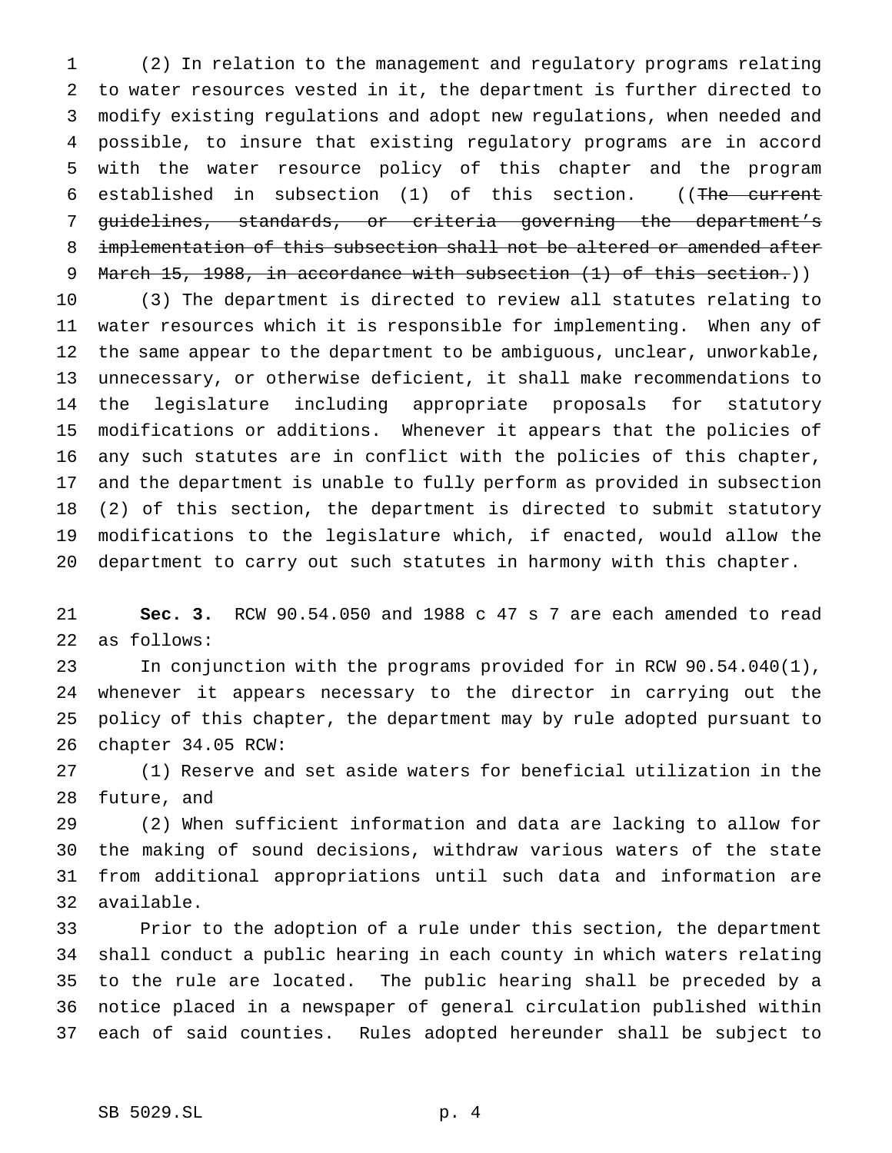(2) In relation to the management and regulatory programs relating to water resources vested in it, the department is further directed to modify existing regulations and adopt new regulations, when needed and possible, to insure that existing regulatory programs are in accord with the water resource policy of this chapter and the program established in subsection (1) of this section. ((The current guidelines, standards, or criteria governing the department's implementation of this subsection shall not be altered or amended after 9 March 15, 1988, in accordance with subsection (1) of this section.))

 (3) The department is directed to review all statutes relating to water resources which it is responsible for implementing. When any of the same appear to the department to be ambiguous, unclear, unworkable, unnecessary, or otherwise deficient, it shall make recommendations to the legislature including appropriate proposals for statutory modifications or additions. Whenever it appears that the policies of any such statutes are in conflict with the policies of this chapter, and the department is unable to fully perform as provided in subsection (2) of this section, the department is directed to submit statutory modifications to the legislature which, if enacted, would allow the department to carry out such statutes in harmony with this chapter.

 **Sec. 3.** RCW 90.54.050 and 1988 c 47 s 7 are each amended to read as follows:

 In conjunction with the programs provided for in RCW 90.54.040(1), whenever it appears necessary to the director in carrying out the policy of this chapter, the department may by rule adopted pursuant to chapter 34.05 RCW:

 (1) Reserve and set aside waters for beneficial utilization in the future, and

 (2) When sufficient information and data are lacking to allow for the making of sound decisions, withdraw various waters of the state from additional appropriations until such data and information are available.

 Prior to the adoption of a rule under this section, the department shall conduct a public hearing in each county in which waters relating to the rule are located. The public hearing shall be preceded by a notice placed in a newspaper of general circulation published within each of said counties. Rules adopted hereunder shall be subject to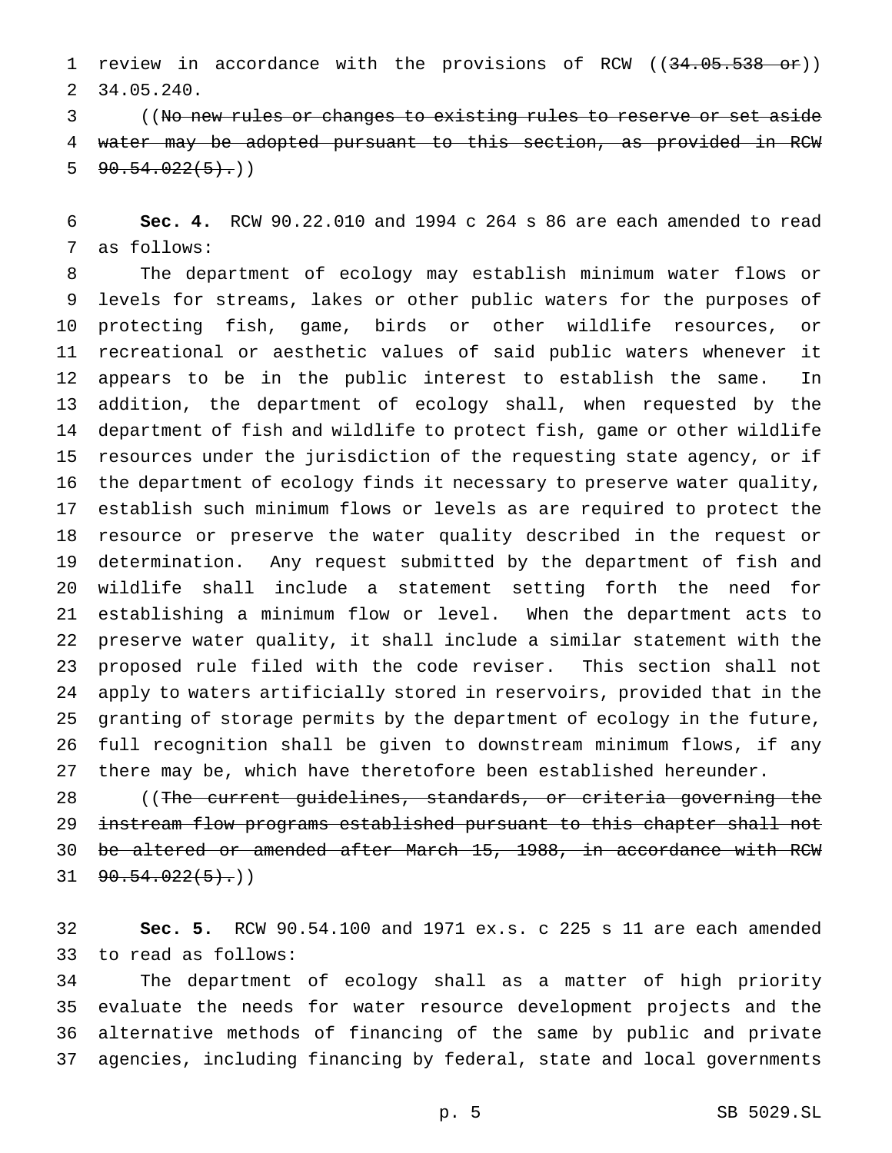1 review in accordance with the provisions of RCW ((34.05.538 or)) 34.05.240.

 ((No new rules or changes to existing rules to reserve or set aside water may be adopted pursuant to this section, as provided in RCW  $5 \left( 90.54.022(5) \cdot \right)$ 

 **Sec. 4.** RCW 90.22.010 and 1994 c 264 s 86 are each amended to read as follows:

 The department of ecology may establish minimum water flows or levels for streams, lakes or other public waters for the purposes of protecting fish, game, birds or other wildlife resources, or recreational or aesthetic values of said public waters whenever it appears to be in the public interest to establish the same. In addition, the department of ecology shall, when requested by the department of fish and wildlife to protect fish, game or other wildlife resources under the jurisdiction of the requesting state agency, or if the department of ecology finds it necessary to preserve water quality, establish such minimum flows or levels as are required to protect the resource or preserve the water quality described in the request or determination. Any request submitted by the department of fish and wildlife shall include a statement setting forth the need for establishing a minimum flow or level. When the department acts to preserve water quality, it shall include a similar statement with the proposed rule filed with the code reviser. This section shall not apply to waters artificially stored in reservoirs, provided that in the granting of storage permits by the department of ecology in the future, full recognition shall be given to downstream minimum flows, if any there may be, which have theretofore been established hereunder.

 ((The current guidelines, standards, or criteria governing the instream flow programs established pursuant to this chapter shall not be altered or amended after March 15, 1988, in accordance with RCW  $31 \quad 90.54.022(5).$ 

 **Sec. 5.** RCW 90.54.100 and 1971 ex.s. c 225 s 11 are each amended to read as follows:

 The department of ecology shall as a matter of high priority evaluate the needs for water resource development projects and the alternative methods of financing of the same by public and private agencies, including financing by federal, state and local governments